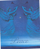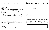# *2nd Sunday of Advent*

*Liberty Pole UMC Worship Service-Sunday, 9:00 A.M. Viroqua UMC Worship Service-Sunday, 10:30 A.M.*

*Please turn off all cell phones and electronics. \*\*Please stand if you are able.*

### **PRELUDE "COME, THOU LONG EXPECTED JESUS"** ARR. BY: WILBUR HELD (V)  *(A time to prepare for worship through prayer and meditation.)*

**Welcoming Words**

 *(Please sign the attendance sheets.)*

## **Announcements**

**\*\*Hymn of Praise "Lift Up Your Heads, Ye Mighty Gates" UMH No. 213**

## **Lighting of second advent candle**

**READER ONE:** Every year we light candles as we prepare for the coming of Christ. More and more candles, more and more light, as we watch and wait for Jesus, the Light of the World.

**All:** God of Promise, come into our darkness. Renew your hope and peace in us, for you alone bring life out of death.

**READER TWO:** Receive God's promise of peace from Psalm 4: Know that the LORD has set apart the godly for himself; the LORD will hear when we call to him.

**All:** Let the light of your face shine upon us, O LORD. We will lie down and sleep in peace, for you alone, O LORD, make us dwell in safety.

Light The Candle of Peace Today we are placing the Shepherds as a sign of peace (JEFF & STACY MATSON  $@$  LP) (DAN & BARB CASPER  $@$  V)

**\*\*Opening Prayer** *(Pray in Unison)*

**We know, O God, we need to come to you. We invite you to come to us. You created us for your glory and service. And we confess that we have sinned, in thought, word, and deed. Teach us true repentance. In the multitude of your mercies and the largeness of your steadfast love forgive our sins. Mold our hearts and wills to love and serve you more perfectly.** *Amen* 

*\*\****Call To Worship Psalm 85: 1-13 UMH 806**

**Children's Time**

*(Children Leave for Sunday School)*

**Choir Sings "A Little Child Will Come To Lead Us"** By: N. Price & D. Besig (V)

| JOYS AND CONCERNS, PASTORAL PRAYER, LORD'S PRAYER<br><b>UMH No. 895</b>                                                                                            |                                                         |                                                                     |                       |  |  |  |
|--------------------------------------------------------------------------------------------------------------------------------------------------------------------|---------------------------------------------------------|---------------------------------------------------------------------|-----------------------|--|--|--|
| <b>OLD TESTAMENT READING</b>                                                                                                                                       |                                                         | L: Lord, in your mercy P: Hear our prayer<br><b>ISAIAH 40: 1-11</b> | PEW BIBLE NO. 851     |  |  |  |
| <b>NEW TESTAMENT READING</b>                                                                                                                                       | PEW BIBLE NO. 1492                                      |                                                                     |                       |  |  |  |
| "LET ALL MORTAL FLESH KEEP SILENCE"<br>**HYMN<br><b>UMH No. 626</b>                                                                                                |                                                         |                                                                     |                       |  |  |  |
| **GOSPEL                                                                                                                                                           |                                                         | <b>MARK 1:1-8</b>                                                   | PEW BIBLE NO. 1191    |  |  |  |
|                                                                                                                                                                    | Ŀ.<br>$\mathbf{p}$ .                                    | THIS IS THE WORD OF GOD FOR THE PEOPLE OF GOD.<br>THANKS BE TO GOD. |                       |  |  |  |
|                                                                                                                                                                    | "GOD'S GIFT OF COMFORT AND REPENTANCE"<br><b>SERMON</b> |                                                                     |                       |  |  |  |
| <b>SACRAMENT OF HOLY COMMUNION</b>                                                                                                                                 |                                                         |                                                                     | <b>UMH No. 12</b>     |  |  |  |
| <b>OFFERING</b>                                                                                                                                                    | "CHANT DU BERGER" (SHEPHERD'S SONG)                     |                                                                     | BY: GUSTAVE MERKL (V) |  |  |  |
| **DOXOLOGY                                                                                                                                                         |                                                         |                                                                     |                       |  |  |  |
| Praise God from whom all blessings flow; praise Him, all creatures here<br>below; praise Him above, ye heavenly host; praise Father, Son, and Holy<br>Ghost. Amen. |                                                         |                                                                     |                       |  |  |  |
| **OFFERTORY PRAYER                                                                                                                                                 |                                                         |                                                                     |                       |  |  |  |
| "HAIL TO THE LORD'S ANOINTED"<br><b>**CLOSING HYMN</b><br><b>UMH No. 203</b>                                                                                       |                                                         |                                                                     |                       |  |  |  |
| *BENEDICTION                                                                                                                                                       |                                                         |                                                                     |                       |  |  |  |
| May the god of peace sanctify you entirely; and may your spirit and soul<br>and body be kept sound and blameless at the coming of our Lord Jesus                   |                                                         |                                                                     |                       |  |  |  |

**Christ. The one who calls you is faithful, and will do this"** *Amen*

| <b>**BENEDICTION RESPONSE</b><br>"EMMANUEL, EMMANUEL" |  |  | <b>UMH No. 204</b> |
|-------------------------------------------------------|--|--|--------------------|
|-------------------------------------------------------|--|--|--------------------|

\*\***POSTLUDE** "THE ANGEL GABRIEL FROM HEAVEN CAME" BY: WILBUR HELD (V)

### **Viroqua & Liberty Pole UMC Bulletins and Radio Broadcast**

The Liberty Pole & Viroqua Bulletins are given in honor of Joanne Hornby's 80th birthday by her sister.

The Radio Broadcast is given by Robert & Janet Starr with thanks to God for Jesus Christ.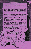### The Story of the Candy Cane

Of all the beautiful traditions of Christmas, few are so ancient in meaning and so rich in symbolism as the Candy Cane.

From the beginning of the tradition of the Christmas Tree, it was customary to decorate the tree with symbols of the newborn Christ. Candles represented the Light of the World, the star recalled that first Christmas night, and the shepherd's crook symbolized the humble shepherds in the fields near Bethlehem who were first to receive the news. "Unto you is born a Savior."

Christmas tree decorations in Europe, from which our tradition comes, were customarily made of food, principally cookies and candy. This symbolically expresses thanks for "our daily bread" as well as providing a Christmas treat for the children. Thus, the shepherd's crook became the candy cane.

As time went on, many ornaments took on a more permanent nature but the Candy Cane retains the original use and meaning of Christmas Tree ornaments.

Candy Canes on the Christmas Tree symbolize the Shepherds in the fields on that first Christmas night, shepherds who heard the angel chorus and came to worship at the crib of the newborn King. They are also a sign of our thanks to God for the food he has given us all during the year, and not least of all, they are an inexpensive and delightful Christmas treat for the family.

> If you would like more information on the symbolism of the Candy Cane and how vou can use this for a program at vour church, club, or Sunday School, send \$1 for postage and handling to: